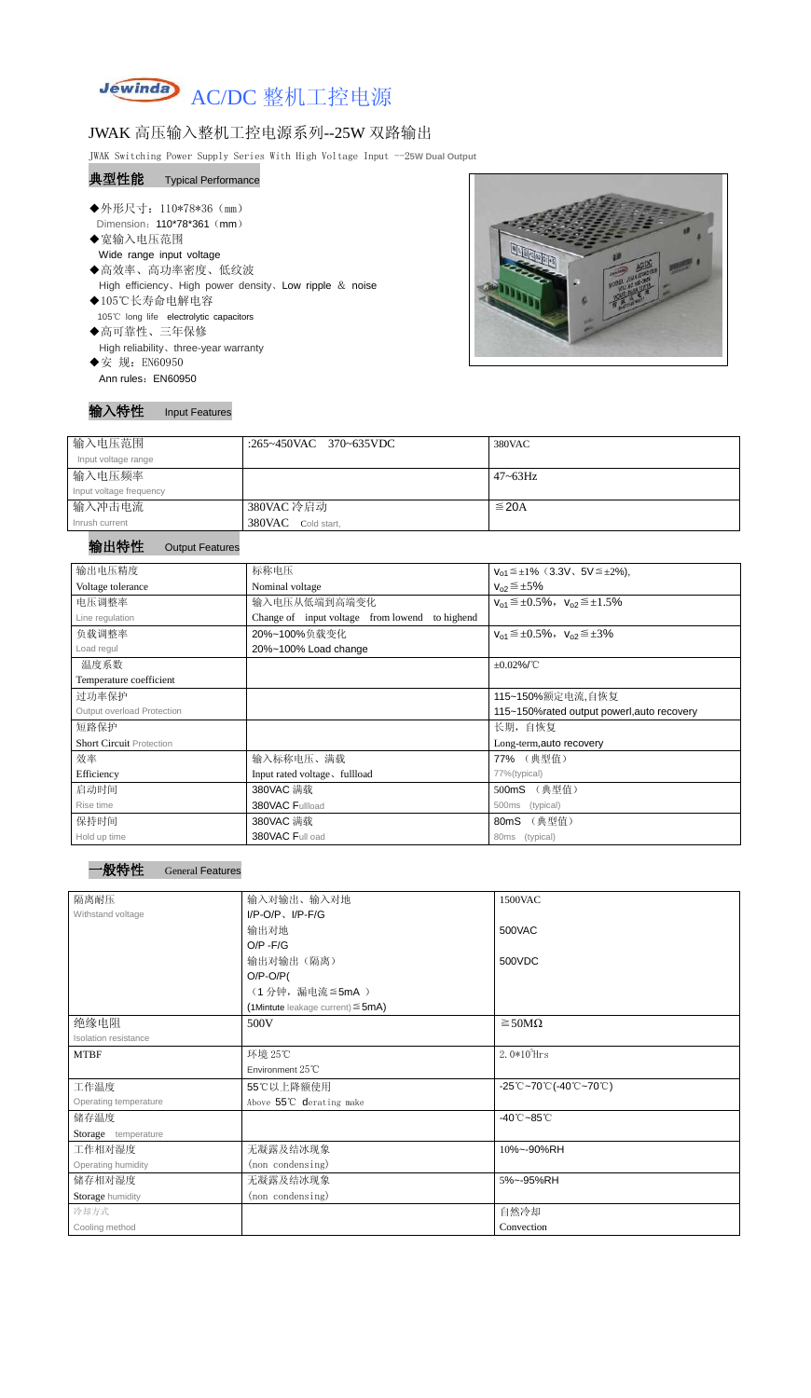

# JWAK 高压输入整机工控电源系列--25W 双路输出

JWAK Switching Power Supply Series With High Voltage Input --2**5W Dual Output**

#### 典型性能 Typical Performance

- ◆外形尺寸: 110\*78\*36 (mm) Dimension: 110\*78\*361 (mm) ◆宽输入电压范围
- Wide range input voltage ◆高效率、高功率密度、低纹波
- High efficiency、High power density、Low ripple & noise
- ◆105℃长寿命电解电容 105℃ long life electrolytic capacitors
- ◆高可靠性、三年保修 High reliability、three-year warranty
- ◆安 规: EN60950 Ann rules: EN60950



### 输入特性 Input Features

| 输入电压范围                  | :265~450VAC 370~635VDC | 380VAC          |
|-------------------------|------------------------|-----------------|
| Input voltage range     |                        |                 |
| 输入电压频率                  |                        | $47 \sim 63$ Hz |
| Input voltage frequency |                        |                 |
| 输入冲击电流                  | 380VAC 冷启动             | $\leq$ 20A      |
| Inrush current          | 380VAC Cold start,     |                 |

## 输出特性 Output Features



| 输出电压精度                          | 标称电压                                              | $V_{01} \leq \pm 1\%$ (3.3V, 5V $\leq \pm 2\%$ ), |  |  |
|---------------------------------|---------------------------------------------------|---------------------------------------------------|--|--|
| Voltage tolerance               | Nominal voltage                                   | $V_{02} \leq \pm 5\%$                             |  |  |
| 电压调整率                           | 输入电压从低端到高端变化                                      | $V_{01} \leq \pm 0.5\%$ , $V_{02} \leq \pm 1.5\%$ |  |  |
| Line regulation                 | Change of input voltage from lowend<br>to highend |                                                   |  |  |
| 负载调整率                           | 20%~100%负载变化                                      | $V_{01} \leq \pm 0.5\%$ , $V_{02} \leq \pm 3\%$   |  |  |
| Load regul                      | 20%~100% Load change                              |                                                   |  |  |
| 温度系数                            |                                                   | $\pm 0.02\%$ /°C                                  |  |  |
| Temperature coefficient         |                                                   |                                                   |  |  |
| 过功率保护                           |                                                   | 115~150%额定电流,自恢复                                  |  |  |
| Output overload Protection      |                                                   | 115~150% rated output powerl, auto recovery       |  |  |
| 短路保护                            | 长期, 自恢复                                           |                                                   |  |  |
| <b>Short Circuit Protection</b> |                                                   | Long-term, auto recovery                          |  |  |
| 效率                              | 输入标称电压、满载                                         | 77% (典型值)                                         |  |  |
| Efficiency                      | Input rated voltage, fullload                     | 77%(typical)                                      |  |  |
| 启动时间                            | 380VAC 满载                                         | (典型值)<br>500mS                                    |  |  |
| Rise time                       | 380VAC Fullload                                   | 500ms<br>(typical)                                |  |  |
| 保持时间                            | 380VAC 满载                                         | (典型值)<br>80 <sub>m</sub> S                        |  |  |
| Hold up time                    | 380VAC Full oad                                   | (typical)<br>80ms                                 |  |  |

| 隔离耐压                        | 输入对输出、输入对地<br>1500VAC                     |                                                                                       |  |
|-----------------------------|-------------------------------------------|---------------------------------------------------------------------------------------|--|
| Withstand voltage           | $I/P$ -O/P, $I/P$ -F/G                    |                                                                                       |  |
|                             | 输出对地                                      | 500VAC                                                                                |  |
|                             | $O/P - F/G$                               |                                                                                       |  |
|                             | 输出对输出(隔离)                                 | 500VDC                                                                                |  |
|                             | $O/P-O/P($                                |                                                                                       |  |
|                             | (1分钟,漏电流 ≦5mA)                            |                                                                                       |  |
|                             | $(1$ Mintute leakage current) $\leq$ 5mA) |                                                                                       |  |
| 绝缘电阻                        | 500V                                      | $\geq 50M\Omega$                                                                      |  |
| <b>Isolation resistance</b> |                                           |                                                                                       |  |
| <b>MTBF</b>                 | 环境 25℃                                    | $2.0*105$ Hrs                                                                         |  |
|                             | Environment $25^{\circ}$ C                |                                                                                       |  |
| 工作温度                        | 55℃以上降额使用                                 | $-25^{\circ}\text{C}-70^{\circ}\text{C}$ (-40 $^{\circ}\text{C}-70^{\circ}\text{C}$ ) |  |
| Operating temperature       | Above 55°C derating make                  |                                                                                       |  |
| 储存温度                        |                                           | $-40^{\circ}$ C $-85^{\circ}$ C                                                       |  |
| Storage temperature         |                                           |                                                                                       |  |
| 工作相对湿度                      | 无凝露及结冰现象                                  | 10%~-90%RH                                                                            |  |
| Operating humidity          | (non condensing)                          |                                                                                       |  |
| 储存相对湿度                      | 无凝露及结冰现象                                  | 5%~-95%RH                                                                             |  |
| Storage humidity            | (non condensing)                          |                                                                                       |  |
| 冷却方式                        |                                           | 自然冷却                                                                                  |  |
| Cooling method              |                                           | Convection                                                                            |  |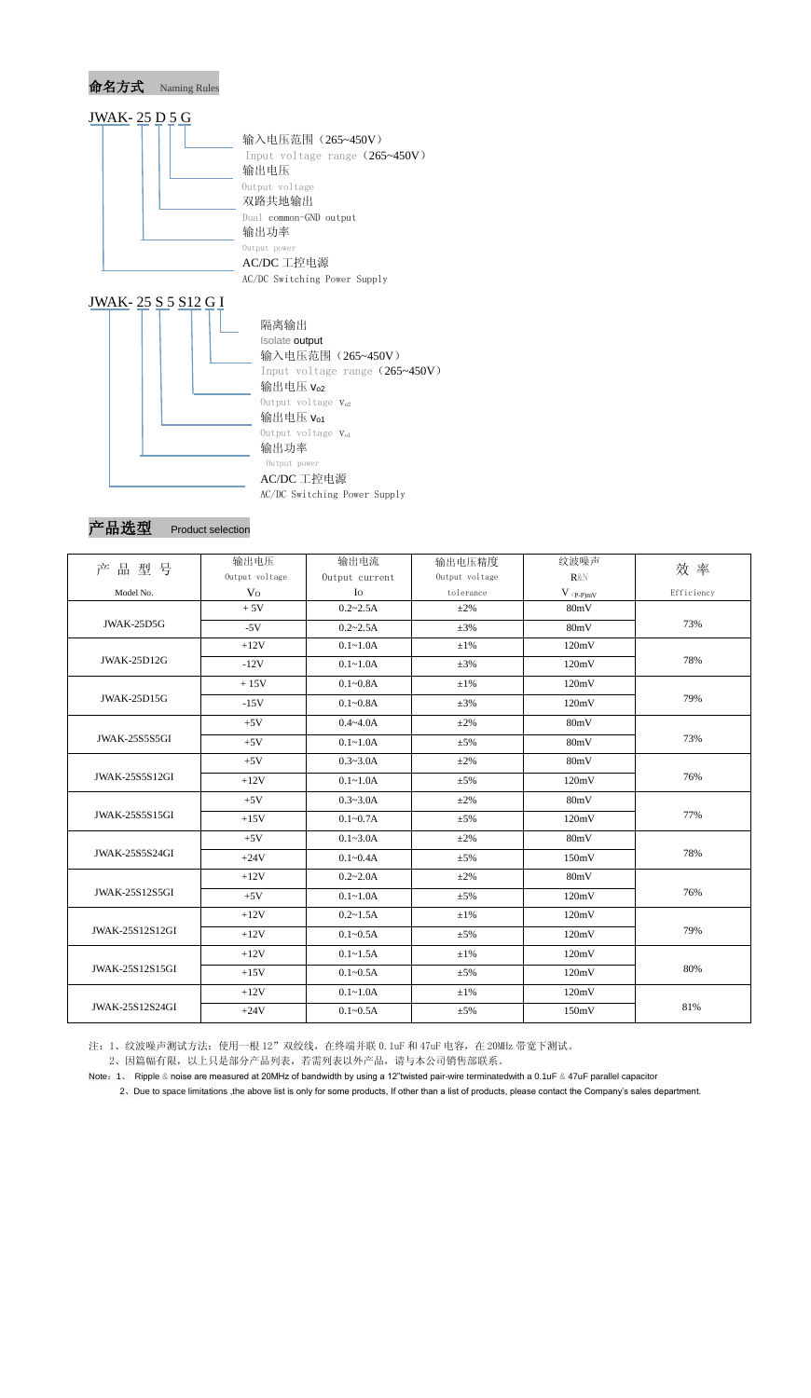

AC/DC 工控电源 AC/DC Switching Power Supply

产品选型 Product selection

| 产品型号                   | 输出电压           | 输出电流           | 输出电压精度         | 纹波噪声                          | 效率         |
|------------------------|----------------|----------------|----------------|-------------------------------|------------|
|                        | Output voltage | Output current | Output voltage | $R\&N$                        |            |
| Model No.              | V <sub>O</sub> | Io             | tolerance      | $V$ $\mathrm{(p\text{-}p)mV}$ | Efficiency |
| JWAK-25D5G             | $+5V$          | $0.2 - 2.5A$   | $\pm 2\%$      | 80mV                          | 73%        |
|                        | $-5V$          | $0.2 - 2.5A$   | $\pm 3\%$      | 80mV                          |            |
| <b>JWAK-25D12G</b>     | $+12V$         | $0.1 - 1.0A$   | $\pm 1\%$      | 120mV                         | 78%        |
|                        | $-12V$         | $0.1 - 1.0A$   | $\pm 3\%$      | 120mV                         |            |
| <b>JWAK-25D15G</b>     | $+15V$         | $0.1 - 0.8A$   | $\pm 1\%$      | 120mV                         | 79%        |
|                        | $-15V$         | $0.1 - 0.8A$   | $\pm 3\%$      | 120mV                         |            |
| JWAK-25S5S5GI          | $+5V$          | $0.4 - 4.0A$   | $\pm 2\%$      | 80mV                          | 73%        |
|                        | $+5V$          | $0.1 - 1.0A$   | $\pm$ 5%       | 80mV                          |            |
|                        | $+5V$          | $0.3 - 3.0A$   | $\pm 2\%$      | 80mV                          | 76%        |
| <b>JWAK-25S5S12GI</b>  | $+12V$         | $0.1 - 1.0A$   | $\pm$ 5%       | 120mV                         |            |
| <b>JWAK-25S5S15GI</b>  | $+5V$          | $0.3 - 3.0A$   | $\pm 2\%$      | 80mV                          | 77%        |
|                        | $+15V$         | $0.1 - 0.7A$   | $\pm$ 5%       | 120mV                         |            |
| <b>JWAK-25S5S24GI</b>  | $+5V$          | $0.1 - 3.0A$   | $\pm 2\%$      | 80mV                          | 78%        |
|                        | $+24V$         | $0.1 - 0.4A$   | $\pm$ 5%       | 150mV                         |            |
| <b>JWAK-25S12S5GI</b>  | $+12V$         | $0.2 - 2.0A$   | $\pm 2\%$      | 80mV                          | 76%        |
|                        | $+5V$          | $0.1 - 1.0A$   | $\pm$ 5%       | 120mV                         |            |
| JWAK-25S12S12GI        | $+12V$         | $0.2 - 1.5A$   | $\pm 1\%$      | 120mV                         | 79%        |
|                        | $+12V$         | $0.1 - 0.5A$   | $\pm$ 5%       | 120mV                         |            |
| JWAK-25S12S15GI        | $+12V$         | $0.1 - 1.5A$   | $\pm 1\%$      | 120mV                         | 80%        |
|                        | $+15V$         | $0.1 - 0.5A$   | $\pm$ 5%       | 120mV                         |            |
| <b>JWAK-25S12S24GI</b> | $+12V$         | $0.1 - 1.0A$   | $\pm 1\%$      | 120mV                         | 81%        |
|                        | $+24V$         | $0.1 - 0.5A$   | $\pm 5\%$      | 150mV                         |            |

注: 1、纹波噪声测试方法: 使用一根 12"双绞线, 在终端并联 0.1uF 和 47uF 电容, 在 20MHz 带宽下测试。

2、因篇幅有限,以上只是部分产品列表,若需列表以外产品,请与本公司销售部联系。

Note:1、 Ripple & noise are measured at 20MHz of bandwidth by using a 12"twisted pair-wire terminatedwith a 0.1uF & 47uF parallel capacitor

2、Due to space limitations ,the above list is only for some products, If other than a list of products, please contact the Company's sales department.